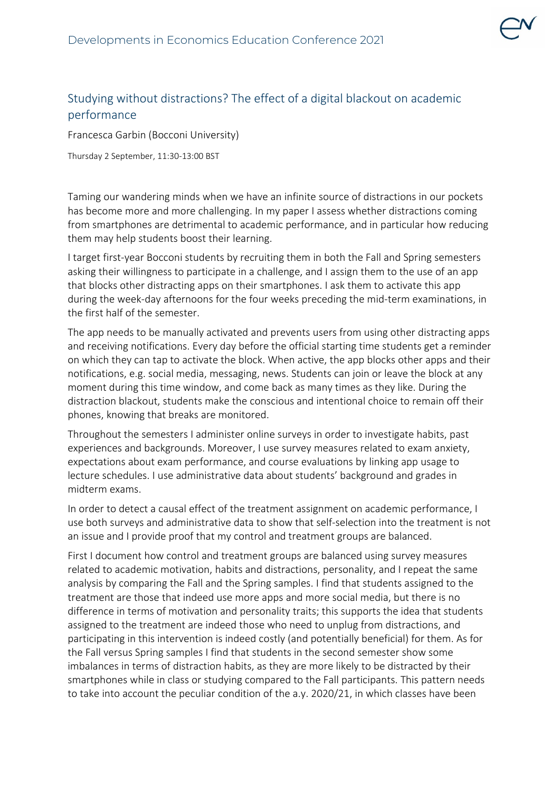

## Studying without distractions? The effect of a digital blackout on academic performance

Francesca Garbin (Bocconi University)

Thursday 2 September, 11:30-13:00 BST

Taming our wandering minds when we have an infinite source of distractions in our pockets has become more and more challenging. In my paper I assess whether distractions coming from smartphones are detrimental to academic performance, and in particular how reducing them may help students boost their learning.

I target first-year Bocconi students by recruiting them in both the Fall and Spring semesters asking their willingness to participate in a challenge, and I assign them to the use of an app that blocks other distracting apps on their smartphones. I ask them to activate this app during the week-day afternoons for the four weeks preceding the mid-term examinations, in the first half of the semester.

The app needs to be manually activated and prevents users from using other distracting apps and receiving notifications. Every day before the official starting time students get a reminder on which they can tap to activate the block. When active, the app blocks other apps and their notifications, e.g. social media, messaging, news. Students can join or leave the block at any moment during this time window, and come back as many times as they like. During the distraction blackout, students make the conscious and intentional choice to remain off their phones, knowing that breaks are monitored.

Throughout the semesters I administer online surveys in order to investigate habits, past experiences and backgrounds. Moreover, I use survey measures related to exam anxiety, expectations about exam performance, and course evaluations by linking app usage to lecture schedules. I use administrative data about students' background and grades in midterm exams.

In order to detect a causal effect of the treatment assignment on academic performance, I use both surveys and administrative data to show that self-selection into the treatment is not an issue and I provide proof that my control and treatment groups are balanced.

First I document how control and treatment groups are balanced using survey measures related to academic motivation, habits and distractions, personality, and I repeat the same analysis by comparing the Fall and the Spring samples. I find that students assigned to the treatment are those that indeed use more apps and more social media, but there is no difference in terms of motivation and personality traits; this supports the idea that students assigned to the treatment are indeed those who need to unplug from distractions, and participating in this intervention is indeed costly (and potentially beneficial) for them. As for the Fall versus Spring samples I find that students in the second semester show some imbalances in terms of distraction habits, as they are more likely to be distracted by their smartphones while in class or studying compared to the Fall participants. This pattern needs to take into account the peculiar condition of the a.y. 2020/21, in which classes have been